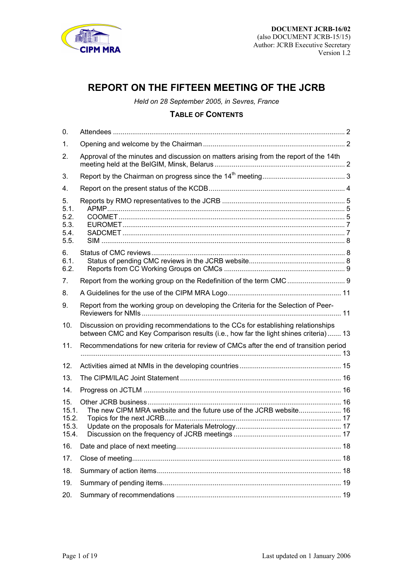<span id="page-0-0"></span>

# **REPORT ON THE FIFTEEN MEETING OF THE JCRB**

*Held on 28 September 2005, in Sevres, France* 

# **TABLE OF CONTENTS**

| 0.                                         |                                                                                                                                                                          |  |
|--------------------------------------------|--------------------------------------------------------------------------------------------------------------------------------------------------------------------------|--|
| $\mathbf{1}$ .                             |                                                                                                                                                                          |  |
| 2.                                         | Approval of the minutes and discussion on matters arising from the report of the 14th                                                                                    |  |
| 3.                                         |                                                                                                                                                                          |  |
| 4.                                         |                                                                                                                                                                          |  |
| 5.<br>5.1.<br>5.2.<br>5.3.<br>5.4.<br>5.5. |                                                                                                                                                                          |  |
| 6.<br>6.1.<br>6.2.                         |                                                                                                                                                                          |  |
| 7.                                         |                                                                                                                                                                          |  |
| 8.                                         |                                                                                                                                                                          |  |
| 9.                                         | Report from the working group on developing the Criteria for the Selection of Peer-                                                                                      |  |
|                                            |                                                                                                                                                                          |  |
| 10.                                        | Discussion on providing recommendations to the CCs for establishing relationships<br>between CMC and Key Comparison results (i.e., how far the light shines criteria) 13 |  |
| 11.                                        | Recommendations for new criteria for review of CMCs after the end of transition period                                                                                   |  |
| 12.                                        |                                                                                                                                                                          |  |
| 13.                                        |                                                                                                                                                                          |  |
| 14.                                        |                                                                                                                                                                          |  |
| 15.<br>15.1.<br>15.2.<br>15.3.<br>15.4.    | The new CIPM MRA website and the future use of the JCRB website 16                                                                                                       |  |
| 16.                                        |                                                                                                                                                                          |  |
| 17.                                        |                                                                                                                                                                          |  |
| 18.                                        |                                                                                                                                                                          |  |
| 19.                                        |                                                                                                                                                                          |  |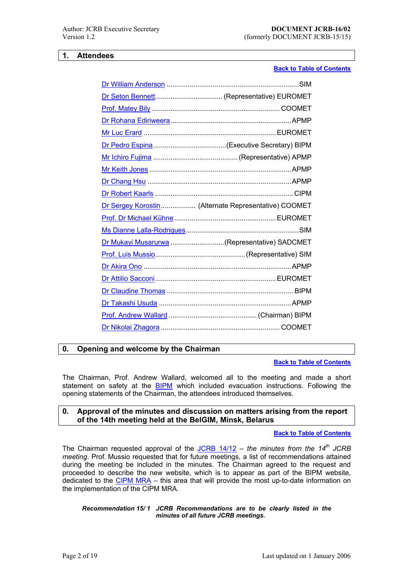### <span id="page-1-0"></span>**1. Attendees**

# **Back to Table of Contents**

| Dr Sergey Korostin  (Alternate Representative) COOMET |
|-------------------------------------------------------|
|                                                       |
|                                                       |
| Dr Mukayi Musarurwa (Representative) SADCMET          |
|                                                       |
|                                                       |
|                                                       |
|                                                       |
|                                                       |
|                                                       |
|                                                       |

# **0. Openi[ng and welcome by](mailto:awallard@bipm.org) the Chairman**

### **Back to Table of Contents**

The Chairman, Prof. Andrew Wallard, welcomed all to the meeting and made a short statement on safety at the **BIPM** which included evacuation instructions. Following the opening statements of the Chairman, the attendees introduced them[selves.](#page-0-0) 

# **0. Approval of the minutes and discussion on matters arising from the report of the 14th meeting h[eld at](https://www.bipm.org/en/bipm/) the BelGIM, Minsk, Belarus**

### **Back to Table of Contents**

The Chairman requested approval of the **JCRB 14/12** – the minutes from the 14<sup>th</sup> JCRB *meeting*. Prof. Mussio requested that for future meetings, a list of recommendations attained during the meeting be included in the minutes. The Chairman a[greed to the request and](#page-0-0)  proceeded to describe the new website, which is to appear as part of the BIPM website, dedicated to the CIPM MRA  $-$  this area th[at will provide](https://www.bipm.org/cc/JCRB/Restricted/14/JCRB14.pdf) the most up-to-date information on the implementation of the CIPM MRA.

### *Recommen[dation 15/ 1](https://www.bipm.org/en/cipm-mra/) JCRB Recommendations are to be clearly listed in the minutes of all future JCRB meetings.*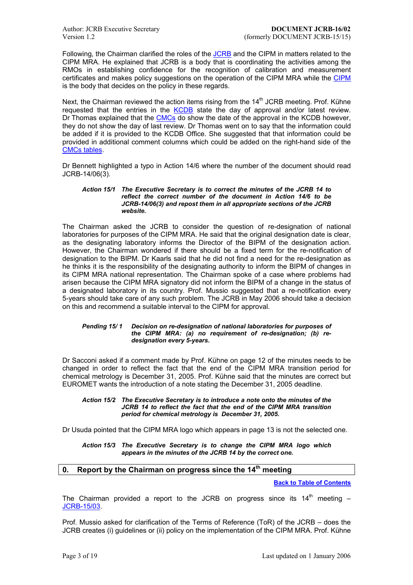<span id="page-2-0"></span>Following, the Chairman clarified the roles of the **JCRB** and the CIPM in matters related to the CIPM MRA. He explained that JCRB is a body that is coordinating the activities among the RMOs in establishing confidence for the recognition of calibration and measurement certificates and makes policy suggestions on the operation of the CIPM MRA while the CIPM is the body that decides on the policy in these re[gards.](https://www.bipm.org/en/committees/jc/jcrb/)

Next, the Chairman reviewed the action items rising from the  $14<sup>th</sup>$  JCRB meeting. Prof. Kühne requested that the entries in the KCDB state the day of approval and/or latest r[eview.](https://www.bipm.org/en/committees/cipm/)  Dr Thomas explained that the CMCs do show the date of the approval in the KCDB however, they do not show the day of last review. Dr Thomas went on to say that the information could be added if it is provided to the KCDB Office. She suggested that that information could be provided in additional comment col[umns w](http://kcdb.bipm.org/)hich could be added on the right-hand side of the CMCs tables.

Dr Bennett highlighted a typo in Action 14/6 where the number of the document should read JCRB-14/06(3).

#### *[Action](https://www1.bipm.org/JCRBCMCs/ListOfMet.jsp) 15/1 The Executive Secretary is to correct the minutes of the JCRB 14 to reflect the correct number of the document in Action 14/6 to be JCRB-14/06(3) and repost them in all appropriate sections of the JCRB website.*

The Chairman asked the JCRB to consider the question of re-designation of national laboratories for purposes of the CIPM MRA. He said that the original designation date is clear, as the designating laboratory informs the Director of the BIPM of the designation action. However, the Chairman wondered if there should be a fixed term for the re-notification of designation to the BIPM. Dr Kaarls said that he did not find a need for the re-designation as he thinks it is the responsibility of the designating authority to inform the BIPM of changes in its CIPM MRA national representation. The Chairman spoke of a case where problems had arisen because the CIPM MRA signatory did not inform the BIPM of a change in the status of a designated laboratory in its country. Prof. Mussio suggested that a re-notification every 5-years should take care of any such problem. The JCRB in May 2006 should take a decision on this and recommend a suitable interval to the CIPM for approval.

#### *Pending 15/ 1 Decision on re-designation of national laboratories for purposes of the CIPM MRA: (a) no requirement of re-designation; (b) redesignation every 5-years.*

Dr Sacconi asked if a comment made by Prof. Kühne on page 12 of the minutes needs to be changed in order to reflect the fact that the end of the CIPM MRA transition period for chemical metrology is December 31, 2005. Prof. Kühne said that the minutes are correct but EUROMET wants the introduction of a note stating the December 31, 2005 deadline.

#### *Action 15/2 The Executive Secretary is to introduce a note onto the minutes of the JCRB 14 to reflect the fact that the end of the CIPM MRA transition period for chemical metrology is December 31, 2005.*

Dr Usuda pointed that the CIPM MRA logo which appears in page 13 is not the selected one.

#### *Action 15/3 The Executive Secretary is to change the CIPM MRA logo which appears in the minutes of the JCRB 14 by the correct one.*

# **0. Report by the Chairman on progress since the 14th meeting**

**Back to Table of Contents**

The Chairman provided a report to the JCRB on progress since its  $14<sup>th</sup>$  meeting  $-$ JCRB-15/03.

Prof. Mussio asked for clarification of the Terms of Reference (ToR) of the JCRB  $-$  does the JCRB creates (i) guidelines or (ii) policy on the implementation of the CIPM MRA. Prof. Kühne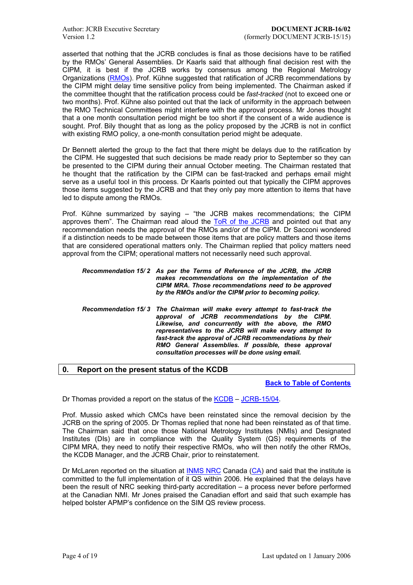<span id="page-3-0"></span>asserted that nothing that the JCRB concludes is final as those decisions have to be ratified by the RMOsí General Assemblies. Dr Kaarls said that although final decision rest with the CIPM, it is best if the JCRB works by consensus among the Regional Metrology Organizations (RMOs). Prof. Kühne suggested that ratification of JCRB recommendations by the CIPM might delay time sensitive policy from being implemented. The Chairman asked if the committee thought that the ratification process could be *fast-tracked* (not to exceed one or two months). Prof. Kühne also pointed out that the lack of uniformity in the approach between the RMO Tech[nical C](https://www.bipm.org/en/practical_info/useful_links/rmo.html)ommittees might interfere with the approval process. Mr Jones thought that a one month consultation period might be too short if the consent of a wide audience is sought. Prof. Bily thought that as long as the policy proposed by the JCRB is not in conflict with existing RMO policy, a one-month consultation period might be adequate.

Dr Bennett alerted the group to the fact that there might be delays due to the ratification by the CIPM. He suggested that such decisions be made ready prior to September so they can be presented to the CIPM during their annual October meeting. The Chairman restated that he thought that the ratification by the CIPM can be fast-tracked and perhaps email might serve as a useful tool in this process. Dr Kaarls pointed out that typically the CIPM approves those items suggested by the JCRB and that they only pay more attention to items that have led to dispute among the RMOs.

Prof. Kühne summarized by saying – "the JCRB makes recommendations; the CIPM approves them<sup>"</sup>. The Chairman read aloud the ToR of the JCRB and pointed out that any recommendation needs the approval of the RMOs and/or of the CIPM. Dr Sacconi wondered if a distinction needs to be made between those items that are policy matters and those items that are considered operational matters only. The Chairman replied that policy matters need approval from the CIPM; operational matters not [necessarily need s](https://www.bipm.org/utils/common/documents/jcrb/terms_of_reference.pdf)uch approval.

*Recommendation 15/ 2 As per the Terms of Reference of the JCRB, the JCRB makes recommendations on the implementation of the CIPM MRA. Those recommendations need to be approved by the RMOs and/or the CIPM prior to becoming policy.*

*Recommendation 15/ 3 The Chairman will make every attempt to fast-track the approval of JCRB recommendations by the CIPM. Likewise, and concurrently with the above, the RMO representatives to the JCRB will make every attempt to fast-track the approval of JCRB recommendations by their RMO General Assemblies. If possible, these approval consultation processes will be done using email.* 

# **0. Report on the present status of the KCDB**

**Back to Table of Contents**

Dr Thomas provided a report on the status of the KCDB – JCRB-15/04.

Prof. Mussio asked which CMCs have been reinstated since t[he removal decision by the](#page-0-0) JCRB on the spring of 2005. Dr Thomas replied that none had been reinstated as of that time. The Chairman said that once those National [Metrolo](http://kcdb.bipm.org/)g[y Institutes \(N](https://www.bipm.org/cc/JCRB/Restricted/15/15.04.KCDB.2.pdf)MIs) and Designated Institutes (DIs) are in compliance with the Quality System (QS) requirements of the CIPM MRA, they need to notify their respective RMOs, who will then notify the other RMOs, the KCDB Manager, and the JCRB Chair, prior to reinstatement.

Dr McLaren reported on the situation at INMS NRC Canada (CA) and said that the institute is committed to the full implementation of it QS within 2006. He explained that the delays have been the result of NRC seeking third-party accreditation  $-$  a process never before performed at the Canadian NMI. Mr Jones praised the Canadian effort and said that such example has helped bolster APMP's confidence on th[e SIM QS re](http://inms-ienm.nrc-cnrc.gc.ca/)view pro[cess](https://www.bipm.org/en/convention/member_states/ca/).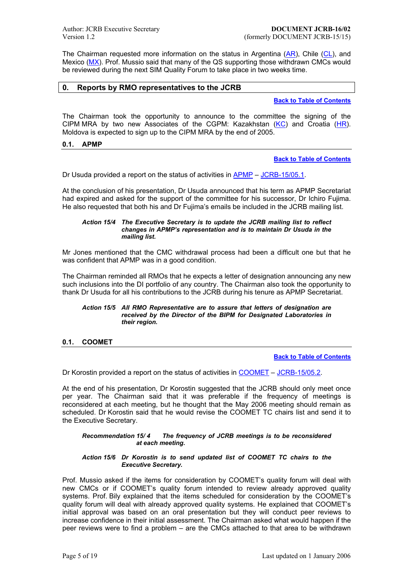<span id="page-4-0"></span>The Chairman requested more information on the status in Argentina  $(AR)$ , Chile  $(CL)$ , and Mexico (MX). Prof. Mussio said that many of the QS supporting those withdrawn CMCs would be reviewed during the next SIM Quality Forum to take place in two weeks time.

# **0. Reports by RMO representatives to the JCRB**

### **Back to Table of Contents**

The Chairman took the opportunity to announce to the committee the signing of the CIPM MRA by two new Associates of the CGPM: Kazakhstan  $(KC)$  and Croatia  $(HR)$ . Moldova is expected to sign up to the CIPM MRA by the end of 2005[.](#page-0-0) 

### **0.1. APMP**

**[Back](https://www.bipm.org/jsp/en/ViewCountryDetails.jsp?ISO_CODE=KZ) to Table of Con[tent](https://www.bipm.org/jsp/en/ViewCountryDetails.jsp?ISO_CODE=HR)s**

Dr Usuda provided a report on the status of activities in  $APMP - JCRB-15/05.1$ .

At the conclusion of his presentation, Dr Usuda announced that his t[erm as APMP Secretariat](#page-0-0)  had expired and asked for the support of the committee for his successor, Dr Ichiro Fujima. He also requested that both his and Dr Fujima's emails [be incl](http://www.apmpweb.org/)ud[ed in the JCRB](https://www.bipm.org/cc/JCRB/Restricted/15/15.05.1.APMP.1.pdf) mailing list.

#### *Action 15/4 The Executive Secretary is to update the JCRB mailing list to reflect changes in APMPís representation and is to maintain Dr Usuda in the mailing list.*

Mr Jones mentioned that the CMC withdrawal process had been a difficult one but that he was confident that APMP was in a good condition.

The Chairman reminded all RMOs that he expects a letter of designation announcing any new such inclusions into the DI portfolio of any country. The Chairman also took the opportunity to thank Dr Usuda for all his contributions to the JCRB during his tenure as APMP Secretariat.

#### *Action 15/5 All RMO Representative are to assure that letters of designation are received by the Director of the BIPM for Designated Laboratories in their region.*

### **0.1. COOMET**

**Back to Table of Contents**

Dr Korostin provided a report on the status of activities in COOMET – JCRB-15/05.2.

At the end of his presentation, Dr Korostin suggested that the JCR[B should only meet once](#page-0-0)  per year. The Chairman said that it was preferable if the frequency of meetings is reconsidered at each meeting, but he thought that the [May 2006 m](http://www.coomet.org/)[eeting should r](https://www.bipm.org/cc/JCRB/Restricted/15/15.05.2.COOMET.2.pdf)emain as scheduled. Dr Korostin said that he would revise the COOMET TC chairs list and send it to the Executive Secretary.

#### *Recommendation 15/ 4 The frequency of JCRB meetings is to be reconsidered at each meeting.*

#### *Action 15/6 Dr Korostin is to send updated list of COOMET TC chairs to the Executive Secretary.*

Prof. Mussio asked if the items for consideration by COOMET's quality forum will deal with new CMCs or if COOMETís quality forum intended to review already approved quality systems. Prof. Bily explained that the items scheduled for consideration by the COOMET's quality forum will deal with already approved quality systems. He explained that COOMETís initial approval was based on an oral presentation but they will conduct peer reviews to increase confidence in their initial assessment. The Chairman asked what would happen if the peer reviews were to find a problem  $-$  are the CMCs attached to that area to be withdrawn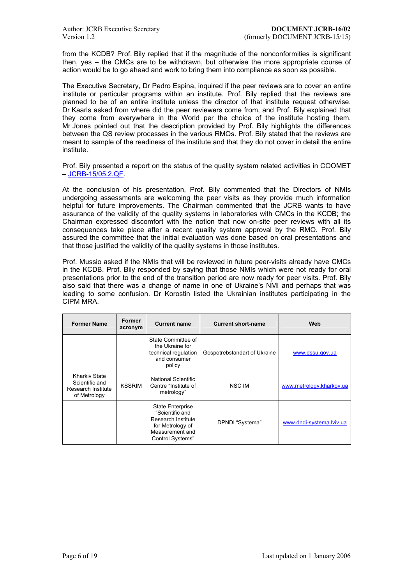from the KCDB? Prof. Bily replied that if the magnitude of the nonconformities is significant then, yes  $-$  the CMCs are to be withdrawn, but otherwise the more appropriate course of action would be to go ahead and work to bring them into compliance as soon as possible.

The Executive Secretary, Dr Pedro Espina, inquired if the peer reviews are to cover an entire institute or particular programs within an institute. Prof. Bily replied that the reviews are planned to be of an entire institute unless the director of that institute request otherwise. Dr Kaarls asked from where did the peer reviewers come from, and Prof. Bily explained that they come from everywhere in the World per the choice of the institute hosting them. Mr Jones pointed out that the description provided by Prof. Bily highlights the differences between the QS review processes in the various RMOs. Prof. Bily stated that the reviews are meant to sample of the readiness of the institute and that they do not cover in detail the entire institute.

Prof. Bily presented a report on the status of the quality system related activities in COOMET  $-JCRB-15/05.2.QF.$ 

At the conclusion of his presentation, Prof. Bily commented that the Directors of NMIs undergoing assessments are welcoming the peer visits as they provide much information h[elpful for future im](https://www.bipm.org/cc/JCRB/Restricted/15/15.05.2.COOMET-QF.1.pdf)provements. The Chairman commented that the JCRB wants to have assurance of the validity of the quality systems in laboratories with CMCs in the KCDB; the Chairman expressed discomfort with the notion that now on-site peer reviews with all its consequences take place after a recent quality system approval by the RMO. Prof. Bily assured the committee that the initial evaluation was done based on oral presentations and that those justified the validity of the quality systems in those institutes.

Prof. Mussio asked if the NMIs that will be reviewed in future peer-visits already have CMCs in the KCDB. Prof. Bily responded by saying that those NMIs which were not ready for oral presentations prior to the end of the transition period are now ready for peer visits. Prof. Bily also said that there was a change of name in one of Ukraineís NMI and perhaps that was leading to some confusion. Dr Korostin listed the Ukrainian institutes participating in the CIPM MRA.

| <b>Former Name</b>                                                           | <b>Former</b><br>acronym | <b>Current name</b>                                                                                                  | <b>Current short-name</b>    | Web                      |
|------------------------------------------------------------------------------|--------------------------|----------------------------------------------------------------------------------------------------------------------|------------------------------|--------------------------|
|                                                                              |                          | State Committee of<br>the Ukraine for<br>technical regulation<br>and consumer<br>policy                              | Gospotrebstandart of Ukraine | www.dssu.gov.ua          |
| <b>Kharkiv State</b><br>Scientific and<br>Research Institute<br>of Metrology | <b>KSSRIM</b>            | <b>National Scientific</b><br>Centre "Institute of<br>metrology"                                                     | NSC IM                       | www.metrology.kharkov.ua |
|                                                                              |                          | State Enterprise<br>"Scientific and<br>Research Institute<br>for Metrology of<br>Measurement and<br>Control Systems" | DPNDI "Systema"              | www.dndi-systema.lviv.ua |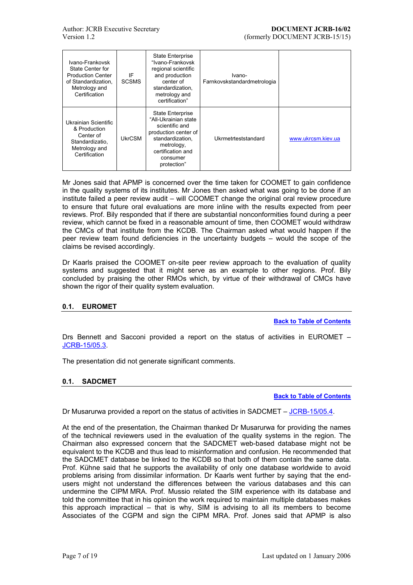<span id="page-6-0"></span>

| Ivano-Frankovsk<br>State Center for<br><b>Production Center</b><br>of Standardization.<br>Metrology and<br>Certification | IF<br><b>SCSMS</b> | <b>State Enterprise</b><br>"Ivano-Frankovsk<br>regional scientific<br>and production<br>center of<br>standardization.<br>metrology and<br>certification"                    | Ivano-<br>Farnkovskstandardmetrologia |                    |
|--------------------------------------------------------------------------------------------------------------------------|--------------------|-----------------------------------------------------------------------------------------------------------------------------------------------------------------------------|---------------------------------------|--------------------|
| Ukrainian Scientific<br>& Production<br>Center of<br>Standardizatio.<br>Metrology and<br>Certification                   | UkrCSM             | <b>State Enterprise</b><br>"All-Ukrainian state<br>scientific and<br>production center of<br>standardization.<br>metrology,<br>certification and<br>consumer<br>protection" | Ukrmetrteststandard                   | www.ukrcsm.kiev.ua |

Mr Jones said that APMP is concerned over the time taken for COOMET to gain confidence in the quality systems of its institutes. Mr Jones then asked what was going to be done if an institute failed a peer review audit – will COOMET change the original oral review procedure to ensure that future oral evaluations are more inline with the results expected from peer reviews. Prof. Bily responded that if there are substantial nonconformities found during a peer review, which cannot be fixed in a reasonable amount of time, then COOMET would withdraw the CMCs of that institute from the KCDB. The Chairman asked what would happen if the peer review team found deficiencies in the uncertainty budgets – would the scope of the claims be revised accordingly.

Dr Kaarls praised the COOMET on-site peer review approach to the evaluation of quality systems and suggested that it might serve as an example to other regions. Prof. Bily concluded by praising the other RMOs which, by virtue of their withdrawal of CMCs have shown the rigor of their quality system evaluation.

# **0.1. EUROMET**

**Back to Table of Contents**

Drs Bennett and Sacconi provided a report on the status of activities in EUROMET  $-$ JCRB-15/05.3.

The presentation did not generate significant comments.

### **[0.1. SADCM](https://www.bipm.org/cc/JCRB/Restricted/15/15.05.3.EUROMET.0.pdf)ET**

**Back to Table of Contents**

Dr Musarurwa provided a report on the status of activities in SADCMET  $-$  JCRB-15/05.4.

At the end of the presentation, the Chairman thanked Dr Musarurw[a for providing the names](#page-0-0) of the technical reviewers used in the evaluation of the quality systems in the region. The Chairman also expressed concern that the SADCMET web-based dat[abase might n](https://www.bipm.org/cc/JCRB/Restricted/15/15.05.4.SADCMET.1.pdf)ot be equivalent to the KCDB and thus lead to misinformation and confusion. He recommended that the SADCMET database be linked to the KCDB so that both of them contain the same data. Prof. Kühne said that he supports the availability of only one database worldwide to avoid problems arising from dissimilar information. Dr Kaarls went further by saying that the endusers might not understand the differences between the various databases and this can undermine the CIPM MRA. Prof. Mussio related the SIM experience with its database and told the committee that in his opinion the work required to maintain multiple databases makes this approach impractical  $-$  that is why, SIM is advising to all its members to become Associates of the CGPM and sign the CIPM MRA. Prof. Jones said that APMP is also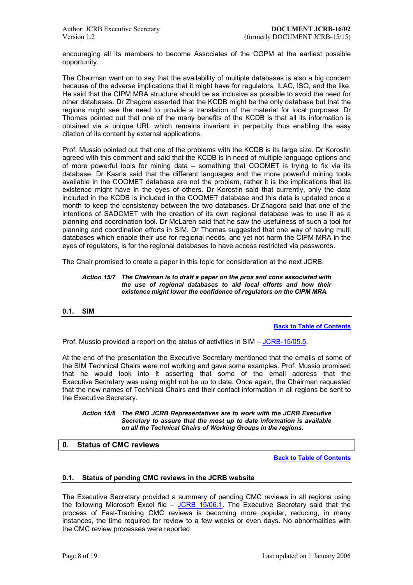<span id="page-7-0"></span>encouraging all its members to become Associates of the CGPM at the earliest possible opportunity.

The Chairman went on to say that the availability of multiple databases is also a big concern because of the adverse implications that it might have for regulators, ILAC, ISO, and the like. He said that the CIPM MRA structure should be as inclusive as possible to avoid the need for other databases. Dr Zhagora asserted that the KCDB might be the only database but that the regions might see the need to provide a translation of the material for local purposes. Dr Thomas pointed out that one of the many benefits of the KCDB is that all its information is obtained via a unique URL which remains invariant in perpetuity thus enabling the easy citation of its content by external applications.

Prof. Mussio pointed out that one of the problems with the KCDB is its large size. Dr Korostin agreed with this comment and said that the KCDB is in need of multiple language options and of more powerful tools for mining data  $-$  something that COOMET is trying to fix via its database. Dr Kaarls said that the different languages and the more powerful mining tools available in the COOMET database are not the problem, rather it is the implications that its existence might have in the eyes of others. Dr Korostin said that currently, only the data included in the KCDB is included in the COOMET database and this data is updated once a month to keep the consistency between the two databases. Dr Zhagora said that one of the intentions of SADCMET with the creation of its own regional database was to use it as a planning and coordination tool. Dr McLaren said that he saw the usefulness of such a tool for planning and coordination efforts in SIM. Dr Thomas suggested that one way of having multi databases which enable their use for regional needs, and yet not harm the CIPM MRA in the eyes of regulators, is for the regional databases to have access restricted via passwords.

The Chair promised to create a paper in this topic for consideration at the next JCRB.

#### *Action 15/7 The Chairman is to draft a paper on the pros and cons associated with the use of regional databases to aid local efforts and how their existence might lower the confidence of regulators on the CIPM MRA.*

### **0.1. SIM**

**Back to Table of Contents**

Prof. Mussio provided a report on the status of activities in  $SIM - JCRB-15/05.5$ .

At the end of the presentation the Executive Secretary mentioned t[hat the emails of some of](#page-0-0)  the SIM Technical Chairs were not working and gave some examples. Prof. Mussio promised that he would look into it asserting that some of th[e email addr](https://www.bipm.org/cc/JCRB/Restricted/15/15.05.5.SIM.0.pdf)ess that the Executive Secretary was using might not be up to date. Once again, the Chairman requested that the new names of Technical Chairs and their contact information in all regions be sent to the Executive Secretary.

*Action 15/8 The RMO JCRB Representatives are to work with the JCRB Executive Secretary to assure that the most up to date information is available on all the Technical Chairs of Working Groups in the regions.* 

### **0. Status of CMC reviews**

**Back to Table of Contents**

### **0.1. Status of pending CMC reviews in the JCRB website**

The Executive Secretary provided a summary of pending CMC re[views in all regions using](#page-0-0)  the following Microsoft Excel file  $-$  JCRB 15/06.1. The Executive Secretary said that the process of Fast-Tracking CMC reviews is becoming more popular, reducing, in many instances, the time required for review to a few weeks or even days. No abnormalities with the CMC review processes were reported.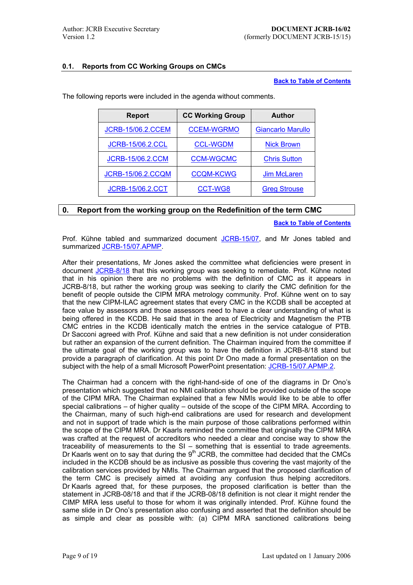# <span id="page-8-0"></span>**0.1. Reports from CC Working Groups on CMCs**

# **Back to Table of Contents**

| <b>Report</b>            | <b>CC Working Group</b> | <b>Author</b>            |
|--------------------------|-------------------------|--------------------------|
| <b>JCRB-15/06.2.CCEM</b> | <b>CCEM-WGRMO</b>       | <b>Giancarlo Marullo</b> |
| <b>JCRB-15/06.2.CCL</b>  | <b>CCL-WGDM</b>         | <b>Nick Brown</b>        |
| <b>JCRB-15/06.2.CCM</b>  | <b>CCM-WGCMC</b>        | <b>Chris Sutton</b>      |
| <b>JCRB-15/06.2.CCQM</b> | <b>CCQM-KCWG</b>        | <b>Jim McLaren</b>       |
| <b>JCRB-15/06.2.CCT</b>  | CCT-WG8                 | <b>Greg Strouse</b>      |

The following reports were included in the agenda without comments.

# **0. Report [from the working g](https://www.bipm.org/cc/JCRB/Restricted/15/15.06.2.CCQM-KCWG.1.pdf)roup [on the Redef](https://www.bipm.org/wg/CCQM/KCWG/Restricted/welcome.jsp)inition [of the term](mailto:Jim.McLaren@nrc-cnrc.gc.ca) CMC**

**[Back to Ta](mailto:gregory.strouse@nist.gov)ble of Contents**

Prof. Kühne tabled and summarized document JCRB-15/07, and Mr Jones tabled and summarized JCRB-15/07.APMP.

After their presentations, Mr Jones asked the committee what defi[ciencies were present in](#page-0-0) document JCRB-8/18 that this working group was [seeking to r](https://www.bipm.org/cc/JCRB/Restricted/15/15.07.CMC_Redefinition.1.doc)emediate. Prof. Kühne noted that in his [opinion there are n](https://www.bipm.org/cc/JCRB/Restricted/15/15.07.CMC_Redefinition_APMP_Position.1.pdf)o problems with the definition of CMC as it appears in JCRB-8/18, but rather the working group was seeking to clarify the CMC definition for the benefit of people outside the CIPM MRA metrology community. Prof. Kühne went on to say that the n[ew CIPM-ILA](https://www.bipm.org/utils/common/documents/jcrb/definitions.pdf)C agreement states that every CMC in the KCDB shall be accepted at face value by assessors and those assessors need to have a clear understanding of what is being offered in the KCDB. He said that in the area of Electricity and Magnetism the PTB CMC entries in the KCDB identically match the entries in the service catalogue of PTB. Dr Sacconi agreed with Prof. Kühne and said that a new definition is not under consideration but rather an expansion of the current definition. The Chairman inquired from the committee if the ultimate goal of the working group was to have the definition in JCRB-8/18 stand but provide a paragraph of clarification. At this point Dr Ono made a formal presentation on the subject with the help of a small Microsoft PowerPoint presentation: JCRB-15/07.APMP.2.

The Chairman had a concern with the right-hand-side of one of the diagrams in Dr Ono's presentation which suggested that no NMI calibration should be provided outside of the scope of the CIPM MRA. The Chairman explained that a few NMIs wo[uld like to be able to](https://www.bipm.org/cc/JCRB/Restricted/15/15.07.APMP.2.Ono_Reply_to_CMC_Redefinition.1.ppt) offer special calibrations  $-$  of higher quality  $-$  outside of the scope of the CIPM MRA. According to the Chairman, many of such high-end calibrations are used for research and development and not in support of trade which is the main purpose of those calibrations performed within the scope of the CIPM MRA. Dr Kaarls reminded the committee that originally the CIPM MRA was crafted at the request of accreditors who needed a clear and concise way to show the traceability of measurements to the  $SI -$  something that is essential to trade agreements. Dr Kaarls went on to say that during the  $9<sup>th</sup>$  JCRB, the committee had decided that the CMCs included in the KCDB should be as inclusive as possible thus covering the vast majority of the calibration services provided by NMIs. The Chairman argued that the proposed clarification of the term CMC is precisely aimed at avoiding any confusion thus helping accreditors. Dr Kaarls agreed that, for these purposes, the proposed clarification is better than the statement in JCRB-08/18 and that if the JCRB-08/18 definition is not clear it might render the CIMP MRA less useful to those for whom it was originally intended. Prof. Kühne found the same slide in Dr Onoís presentation also confusing and asserted that the definition should be as simple and clear as possible with: (a) CIPM MRA sanctioned calibrations being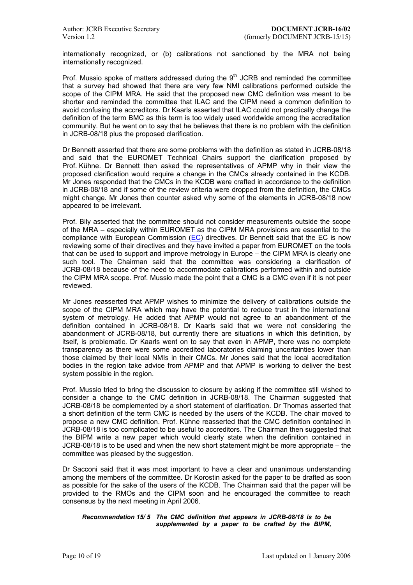internationally recognized, or (b) calibrations not sanctioned by the MRA not being internationally recognized.

Prof. Mussio spoke of matters addressed during the  $9<sup>th</sup>$  JCRB and reminded the committee that a survey had showed that there are very few NMI calibrations performed outside the scope of the CIPM MRA. He said that the proposed new CMC definition was meant to be shorter and reminded the committee that ILAC and the CIPM need a common definition to avoid confusing the accreditors. Dr Kaarls asserted that ILAC could not practically change the definition of the term BMC as this term is too widely used worldwide among the accreditation community. But he went on to say that he believes that there is no problem with the definition in JCRB-08/18 plus the proposed clarification.

Dr Bennett asserted that there are some problems with the definition as stated in JCRB-08/18 and said that the EUROMET Technical Chairs support the clarification proposed by Prof. Kühne. Dr Bennett then asked the representatives of APMP why in their view the proposed clarification would require a change in the CMCs already contained in the KCDB. Mr Jones responded that the CMCs in the KCDB were crafted in accordance to the definition in JCRB-08/18 and if some of the review criteria were dropped from the definition, the CMCs might change. Mr Jones then counter asked why some of the elements in JCRB-08/18 now appeared to be irrelevant.

Prof. Bily asserted that the committee should not consider measurements outside the scope of the MRA – especially within EUROMET as the CIPM MRA provisions are essential to the compliance with European Commission  $(EC)$  directives. Dr Bennett said that the EC is now reviewing some of their directives and they have invited a paper from EUROMET on the tools that can be used to support and improve metrology in Europe  $-$  the CIPM MRA is clearly one such tool. The Chairman said that the committee was considering a clarification of JCRB-08/18 because of the need to acc[omm](http://europa.eu.int/comm/index_en.htm)odate calibrations performed within and outside the CIPM MRA scope. Prof. Mussio made the point that a CMC is a CMC even if it is not peer reviewed.

Mr Jones reasserted that APMP wishes to minimize the delivery of calibrations outside the scope of the CIPM MRA which may have the potential to reduce trust in the international system of metrology. He added that APMP would not agree to an abandonment of the definition contained in JCRB-08/18. Dr Kaarls said that we were not considering the abandonment of JCRB-08/18, but currently there are situations in which this definition, by itself, is problematic. Dr Kaarls went on to say that even in APMP, there was no complete transparency as there were some accredited laboratories claiming uncertainties lower than those claimed by their local NMIs in their CMCs. Mr Jones said that the local accreditation bodies in the region take advice from APMP and that APMP is working to deliver the best system possible in the region.

Prof. Mussio tried to bring the discussion to closure by asking if the committee still wished to consider a change to the CMC definition in JCRB-08/18. The Chairman suggested that JCRB-08/18 be complemented by a short statement of clarification. Dr Thomas asserted that a short definition of the term CMC is needed by the users of the KCDB. The chair moved to propose a new CMC definition. Prof. Kühne reasserted that the CMC definition contained in JCRB-08/18 is too complicated to be useful to accreditors. The Chairman then suggested that the BIPM write a new paper which would clearly state when the definition contained in  $JCRB-08/18$  is to be used and when the new short statement might be more appropriate  $-$  the committee was pleased by the suggestion.

Dr Sacconi said that it was most important to have a clear and unanimous understanding among the members of the committee. Dr Korostin asked for the paper to be drafted as soon as possible for the sake of the users of the KCDB. The Chairman said that the paper will be provided to the RMOs and the CIPM soon and he encouraged the committee to reach consensus by the next meeting in April 2006.

#### *Recommendation 15/ 5 The CMC definition that appears in JCRB-08/18 is to be supplemented by a paper to be crafted by the BIPM,*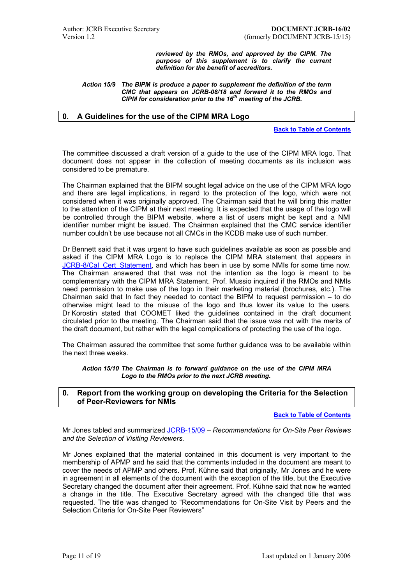*reviewed by the RMOs, and approved by the CIPM. The purpose of this supplement is to clarify the current definition for the benefit of accreditors.* 

<span id="page-10-0"></span>*Action 15/9 The BIPM is produce a paper to supplement the definition of the term CMC that appears on JCRB-08/18 and forward it to the RMOs and CIPM for consideration prior to the 16th meeting of the JCRB.* 

# **0. A Guidelines for the use of the CIPM MRA Logo**

**Back to Table of Contents**

The committee discussed a draft version of a guide to the use of the CIPM MRA logo. That document does not appear in the collection of meeting docume[nts as its inclusion was](#page-0-0)  considered to be premature.

The Chairman explained that the BIPM sought legal advice on the use of the CIPM MRA logo and there are legal implications, in regard to the protection of the logo, which were not considered when it was originally approved. The Chairman said that he will bring this matter to the attention of the CIPM at their next meeting. It is expected that the usage of the logo will be controlled through the BIPM website, where a list of users might be kept and a NMI identifier number might be issued. The Chairman explained that the CMC service identifier number couldn't be use because not all CMCs in the KCDB make use of such number.

Dr Bennett said that it was urgent to have such guidelines available as soon as possible and asked if the CIPM MRA Logo is to replace the CIPM MRA statement that appears in JCRB-8/Cal\_Cert\_Statement, and which has been in use by some NMIs for some time now. The Chairman answered that that was not the intention as the logo is meant to be complementary with the CIPM MRA Statement. Prof. Mussio inquired if the RMOs and NMIs need permission to make use of the logo in their marketing material (brochures, etc.). The [Chairman said that In fact th](https://www.bipm.org/utils/common/documents/jcrb/certificate_statement.pdf)ey needed to contact the BIPM to request permission  $-$  to do otherwise might lead to the misuse of the logo and thus lower its value to the users. Dr Korostin stated that COOMET liked the guidelines contained in the draft document circulated prior to the meeting. The Chairman said that the issue was not with the merits of the draft document, but rather with the legal complications of protecting the use of the logo.

The Chairman assured the committee that some further guidance was to be available within the next three weeks.

*Action 15/10 The Chairman is to forward guidance on the use of the CIPM MRA Logo to the RMOs prior to the next JCRB meeting.* 

### **0. Report from the working group on developing the Criteria for the Selection of Peer-Reviewers for NMIs**

**Back to Table of Contents**

Mr Jones tabled and summarized JCRB-15/09 - Recommendations for On-Site Peer Reviews *and the Selection of Visiting Reviewers.*

Mr Jones explained that the material contained in this document [is very important to the](#page-0-0)  membership of APMP and he sai[d that the com](https://www.bipm.org/cc/JCRB/Restricted/15/15.09.Peer_Reviews.4.doc)ments included in the document are meant to cover the needs of APMP and others. Prof. Kühne said that originally, Mr Jones and he were in agreement in all elements of the document with the exception of the title, but the Executive Secretary changed the document after their agreement. Prof. Kühne said that now he wanted a change in the title. The Executive Secretary agreed with the changed title that was requested. The title was changed to "Recommendations for On-Site Visit by Peers and the Selection Criteria for On-Site Peer Reviewers"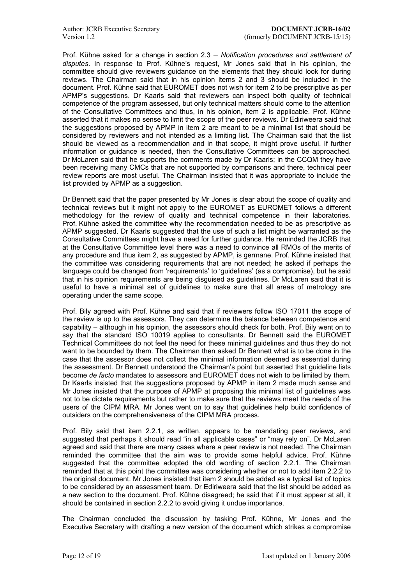Prof. Kühne asked for a change in section 2.3 – Notification procedures and settlement of disputes. In response to Prof. Kühne's request, Mr Jones said that in his opinion, the committee should give reviewers guidance on the elements that they should look for during reviews. The Chairman said that in his opinion items 2 and 3 should be included in the document. Prof. Kühne said that EUROMET does not wish for item 2 to be prescriptive as per APMPís suggestions. Dr Kaarls said that reviewers can inspect both quality of technical competence of the program assessed, but only technical matters should come to the attention of the Consultative Committees and thus, in his opinion, item 2 is applicable. Prof. Kühne asserted that it makes no sense to limit the scope of the peer reviews. Dr Ediriweera said that the suggestions proposed by APMP in item 2 are meant to be a minimal list that should be considered by reviewers and not intended as a limiting list. The Chairman said that the list should be viewed as a recommendation and in that scope, it might prove useful. If further information or guidance is needed, then the Consultative Committees can be approached. Dr McLaren said that he supports the comments made by Dr Kaarls; in the CCQM they have been receiving many CMCs that are not supported by comparisons and there, technical peer review reports are most useful. The Chairman insisted that it was appropriate to include the list provided by APMP as a suggestion.

Dr Bennett said that the paper presented by Mr Jones is clear about the scope of quality and technical reviews but it might not apply to the EUROMET as EUROMET follows a different methodology for the review of quality and technical competence in their laboratories. Prof. Kühne asked the committee why the recommendation needed to be as prescriptive as APMP suggested. Dr Kaarls suggested that the use of such a list might be warranted as the Consultative Committees might have a need for further guidance. He reminded the JCRB that at the Consultative Committee level there was a need to convince all RMOs of the merits of any procedure and thus item 2, as suggested by APMP, is germane. Prof. Kühne insisted that the committee was considering requirements that are not needed; he asked if perhaps the language could be changed from 'requirements' to 'quidelines' (as a compromise), but he said that in his opinion requirements are being disguised as guidelines. Dr McLaren said that it is useful to have a minimal set of guidelines to make sure that all areas of metrology are operating under the same scope.

Prof. Bily agreed with Prof. Kühne and said that if reviewers follow ISO 17011 the scope of the review is up to the assessors. They can determine the balance between competence and capability – although in his opinion, the assessors should check for both. Prof. Bily went on to say that the standard ISO 10019 applies to consultants. Dr Bennett said the EUROMET Technical Committees do not feel the need for these minimal guidelines and thus they do not want to be bounded by them. The Chairman then asked Dr Bennett what is to be done in the case that the assessor does not collect the minimal information deemed as essential during the assessment. Dr Bennett understood the Chairmanís point but asserted that guideline lists become *de facto* mandates to assessors and EUROMET does not wish to be limited by them. Dr Kaarls insisted that the suggestions proposed by APMP in item 2 made much sense and Mr Jones insisted that the purpose of APMP at proposing this minimal list of guidelines was not to be dictate requirements but rather to make sure that the reviews meet the needs of the users of the CIPM MRA. Mr Jones went on to say that guidelines help build confidence of outsiders on the comprehensiveness of the CIPM MRA process.

Prof. Bily said that item 2.2.1, as written, appears to be mandating peer reviews, and suggested that perhaps it should read "in all applicable cases" or "may rely on". Dr McLaren agreed and said that there are many cases where a peer review is not needed. The Chairman reminded the committee that the aim was to provide some helpful advice. Prof. Kühne suggested that the committee adopted the old wording of section 2.2.1. The Chairman reminded that at this point the committee was considering whether or not to add item 2.2.2 to the original document. Mr Jones insisted that item 2 should be added as a typical list of topics to be considered by an assessment team. Dr Ediriweera said that the list should be added as a new section to the document. Prof. Kühne disagreed; he said that if it must appear at all, it should be contained in section 2.2.2 to avoid giving it undue importance.

The Chairman concluded the discussion by tasking Prof. Kühne, Mr Jones and the Executive Secretary with drafting a new version of the document which strikes a compromise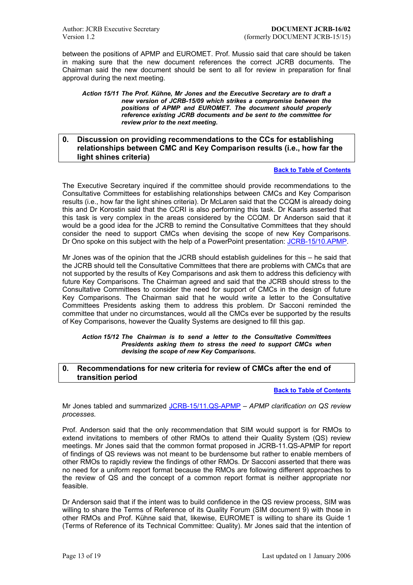<span id="page-12-0"></span>between the positions of APMP and EUROMET. Prof. Mussio said that care should be taken in making sure that the new document references the correct JCRB documents. The Chairman said the new document should be sent to all for review in preparation for final approval during the next meeting.

*Action 15/11 The Prof. K¸hne, Mr Jones and the Executive Secretary are to draft a new version of JCRB-15/09 which strikes a compromise between the positions of APMP and EUROMET. The document should properly reference existing JCRB documents and be sent to the committee for review prior to the next meeting.*

# **0. Discussion on providing recommendations to the CCs for establishing relationships between CMC and Key Comparison results (i.e., how far the light shines criteria)**

### **Back to Table of Contents**

The Executive Secretary inquired if the committee should provide recommendations to the Consultative Committees for establishing relationships between CMCs and Key Comparison results (i.e., how far the light shines criteria). Dr McLaren said that th[e CCQM is already doing](#page-0-0) this and Dr Korostin said that the CCRI is also performing this task. Dr Kaarls asserted that this task is very complex in the areas considered by the CCQM. Dr Anderson said that it would be a good idea for the JCRB to remind the Consultative Committees that they should consider the need to support CMCs when devising the scope of new Key Comparisons. Dr Ono spoke on this subject with the help of a PowerPoint presentation: JCRB-15/10.APMP.

Mr Jones was of the opinion that the JCRB should establish quidelines for this  $-$  he said that the JCRB should tell the Consultative Committees that there are problems with CMCs that are not supported by the results of Key Comparisons and ask them to addre[ss this deficiency wit](https://www.bipm.org/cc/JCRB/Restricted/15/15.10.APMP.Ono_Relation_between_CMC_&_KCs.ppt)h future Key Comparisons. The Chairman agreed and said that the JCRB should stress to the Consultative Committees to consider the need for support of CMCs in the design of future Key Comparisons. The Chairman said that he would write a letter to the Consultative Committees Presidents asking them to address this problem. Dr Sacconi reminded the committee that under no circumstances, would all the CMCs ever be supported by the results of Key Comparisons, however the Quality Systems are designed to fill this gap.

#### *Action 15/12 The Chairman is to send a letter to the Consultative Committees Presidents asking them to stress the need to support CMCs when devising the scope of new Key Comparisons.*

### **0. Recommendations for new criteria for review of CMCs after the end of transition period**

#### **Back to Table of Contents**

Mr Jones tabled and summarized JCRB-15/11.QS-APMP - APMP clarification on QS review *processes.*

Prof. Anderson said that the only recommendation that SIM woul[d support is for RMOs to](#page-0-0) extend invitations to members of [other RMOs](https://www.bipm.org/cc/JCRB/Restricted/15/15.11.QS.QS_Review_APMP_Proposal.1.pdf) to attend their Quality System (QS) review meetings. Mr Jones said that the common format proposed in JCRB-11.QS-APMP for report of findings of QS reviews was not meant to be burdensome but rather to enable members of other RMOs to rapidly review the findings of other RMOs. Dr Sacconi asserted that there was no need for a uniform report format because the RMOs are following different approaches to the review of QS and the concept of a common report format is neither appropriate nor feasible.

Dr Anderson said that if the intent was to build confidence in the QS review process, SIM was willing to share the Terms of Reference of its Quality Forum (SIM document 9) with those in other RMOs and Prof. Kühne said that, likewise, EUROMET is willing to share its Guide 1 (Terms of Reference of its Technical Committee: Quality). Mr Jones said that the intention of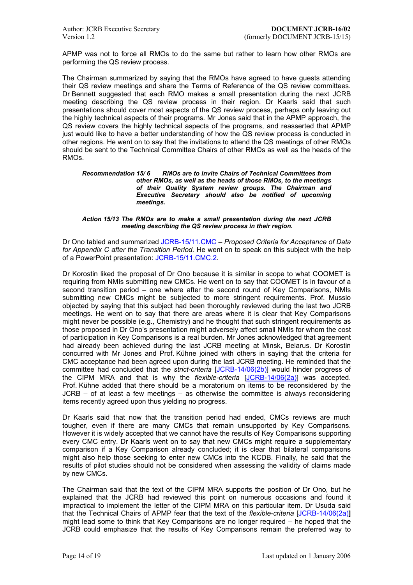APMP was not to force all RMOs to do the same but rather to learn how other RMOs are performing the QS review process.

The Chairman summarized by saying that the RMOs have agreed to have guests attending their QS review meetings and share the Terms of Reference of the QS review committees. Dr Bennett suggested that each RMO makes a small presentation during the next JCRB meeting describing the QS review process in their region. Dr Kaarls said that such presentations should cover most aspects of the QS review process, perhaps only leaving out the highly technical aspects of their programs. Mr Jones said that in the APMP approach, the QS review covers the highly technical aspects of the programs, and reasserted that APMP just would like to have a better understanding of how the QS review process is conducted in other regions. He went on to say that the invitations to attend the QS meetings of other RMOs should be sent to the Technical Committee Chairs of other RMOs as well as the heads of the RMOs.

#### *Recommendation 15/ 6 RMOs are to invite Chairs of Technical Committees from other RMOs, as well as the heads of those RMOs, to the meetings of their Quality System review groups. The Chairman and Executive Secretary should also be notified of upcoming meetings.*

#### *Action 15/13 The RMOs are to make a small presentation during the next JCRB meeting describing the QS review process in their region.*

Dr Ono tabled and summarized JCRB-15/11.CMC - Proposed Criteria for Acceptance of Data *for Appendix C after the Transition Period.* He went on to speak on this subject with the help of a PowerPoint presentation: JCRB-15/11.CMC.2.

Dr Korostin liked the proposal [of Dr Ono because](https://www.bipm.org/cc/JCRB/Restricted/15/15.11.CMC_Criteria_APMP_Proposal.1.pdf) it is similar in scope to what COOMET is requiring from NMIs submitting new CMCs. He went on to say that COOMET is in favour of a second transition period  $-$  o[ne where after the](https://www.bipm.org/cc/JCRB/Restricted/15/15.11.CMC.2.Ono_Proposed_criteria_for_CMC.ppt) second round of Key Comparisons, NMIs submitting new CMCs might be subjected to more stringent requirements. Prof. Mussio objected by saying that this subject had been thoroughly reviewed during the last two JCRB meetings. He went on to say that there are areas where it is clear that Key Comparisons might never be possible (e.g., Chemistry) and he thought that such stringent requirements as those proposed in Dr Onoís presentation might adversely affect small NMIs for whom the cost of participation in Key Comparisons is a real burden. Mr Jones acknowledged that agreement had already been achieved during the last JCRB meeting at Minsk, Belarus. Dr Korostin concurred with Mr Jones and Prof. Kühne joined with others in saying that the criteria for CMC acceptance had been agreed upon during the last JCRB meeting. He reminded that the committee had concluded that the *strict-criteria* [JCRB-14/06(2b)] would hinder progress of the CIPM MRA and that is why the *flexible-criteria* [JCRB-14/06(2a)] was accepted. Prof. Kühne added that there should be a moratorium on items to be reconsidered by the  $JCRB - of at least a few meetings - as otherwise the committee is always reconsidering$ items recently agreed upon thus yielding no progr[ess.](https://www.bipm.org/cc/JCRB/Restricted/14/14_06%282b%29_strict_Criteria_for_acceptance_of_data_for_Appendix_C.doc) 

Dr Kaarls said that now that the transition period had [ended, CMCs re](https://www.bipm.org/cc/JCRB/Restricted/14/14_06%282a%29_flexible_Criteria_for_acceptance_of_data_for_Appendix_C.pdf)views are much tougher, even if there are many CMCs that remain unsupported by Key Comparisons. However it is widely accepted that we cannot have the results of Key Comparisons supporting every CMC entry. Dr Kaarls went on to say that new CMCs might require a supplementary comparison if a Key Comparison already concluded; it is clear that bilateral comparisons might also help those seeking to enter new CMCs into the KCDB. Finally, he said that the results of pilot studies should not be considered when assessing the validity of claims made by new CMCs.

The Chairman said that the text of the CIPM MRA supports the position of Dr Ono, but he explained that the JCRB had reviewed this point on numerous occasions and found it impractical to implement the letter of the CIPM MRA on this particular item. Dr Usuda said that the Technical Chairs of APMP fear that the text of the *flexible-criteria* [JCRB-14/06(2a)**]** might lead some to think that Key Comparisons are no longer required  $-$  he hoped that the JCRB could emphasize that the results of Key Comparisons remain the preferred way to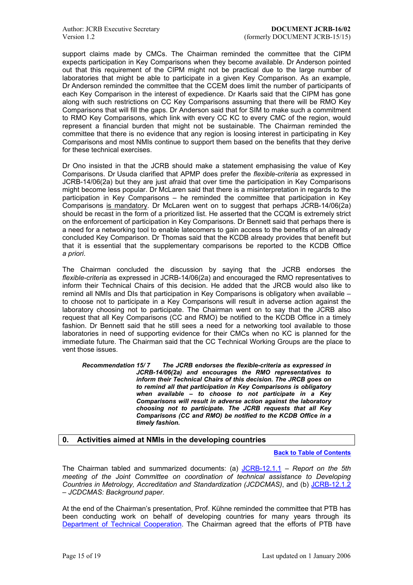<span id="page-14-0"></span>support claims made by CMCs. The Chairman reminded the committee that the CIPM expects participation in Key Comparisons when they become available. Dr Anderson pointed out that this requirement of the CIPM might not be practical due to the large number of laboratories that might be able to participate in a given Key Comparison. As an example, Dr Anderson reminded the committee that the CCEM does limit the number of participants of each Key Comparison in the interest of expedience. Dr Kaarls said that the CIPM has gone along with such restrictions on CC Key Comparisons assuming that there will be RMO Key Comparisons that will fill the gaps. Dr Anderson said that for SIM to make such a commitment to RMO Key Comparisons, which link with every CC KC to every CMC of the region, would represent a financial burden that might not be sustainable. The Chairman reminded the committee that there is no evidence that any region is loosing interest in participating in Key Comparisons and most NMIs continue to support them based on the benefits that they derive for these technical exercises.

Dr Ono insisted in that the JCRB should make a statement emphasising the value of Key Comparisons. Dr Usuda clarified that APMP does prefer the *flexible-criteria* as expressed in JCRB-14/06(2a) but they are just afraid that over time the participation in Key Comparisons might become less popular. Dr McLaren said that there is a misinterpretation in regards to the participation in Key Comparisons  $-$  he reminded the committee that participation in Key Comparisons is mandatory. Dr McLaren went on to suggest that perhaps JCRB-14/06(2a) should be recast in the form of a prioritized list. He asserted that the CCQM is extremely strict on the enforcement of participation in Key Comparisons. Dr Bennett said that perhaps there is a need for a networking tool to enable latecomers to gain access to the benefits of an already concluded Key Comparison. Dr Thomas said that the KCDB already provides that benefit but that it is essential that the supplementary comparisons be reported to the KCDB Office *a priori*.

The Chairman concluded the discussion by saying that the JCRB endorses the *flexible-criteria* as expressed in JCRB-14/06(2a) and encouraged the RMO representatives to inform their Technical Chairs of this decision. He added that the JRCB would also like to remind all NMIs and DIs that participation in Key Comparisons is obligatory when available  $$ to choose not to participate in a Key Comparisons will result in adverse action against the laboratory choosing not to participate. The Chairman went on to say that the JCRB also request that all Key Comparisons (CC and RMO) be notified to the KCDB Office in a timely fashion. Dr Bennett said that he still sees a need for a networking tool available to those laboratories in need of supporting evidence for their CMCs when no KC is planned for the immediate future. The Chairman said that the CC Technical Working Groups are the place to vent those issues.

*Recommendation 15/ 7 The JCRB endorses the flexible-criteria as expressed in JCRB-14/06(2a) and encourages the RMO representatives to inform their Technical Chairs of this decision. The JRCB goes on to remind all that participation in Key Comparisons is obligatory when available - to choose to not participate in a Key Comparisons will result in adverse action against the laboratory choosing not to participate. The JCRB requests that all Key Comparisons (CC and RMO) be notified to the KCDB Office in a timely fashion.* 

# **0. Activities aimed at NMIs in the developing countries**

**Back to Table of Contents**

The Chairman tabled and summarized documents: (a) JCRB-12.1.1 ñ *Report on the 5th meeting of the Joint Committee on coordination of technical assistance to Developing Countries in Metrology, Accreditation and Standardization (JCDCMAS)*[, and \(b\) JCRB-12.1.2](#page-0-0)  $-$  JCDCMAS: Background paper.

At the end of the Chairman's presentation, Prof. Kühne re[minded the co](https://www.bipm.org/cc/JCRB/Restricted/15/15.12.1.1.JCDCMAS_Minutes_20050311.1.pdf)mmittee that PTB has been conducting work on behalf of developing countries for many years [through its](https://www.bipm.org/cc/JCRB/Restricted/15/15.12.1.2.JCDCMAS_Background_Paper_2005.pdf) Department of Technical Cooperation. The Chairman agreed that the efforts of PTB have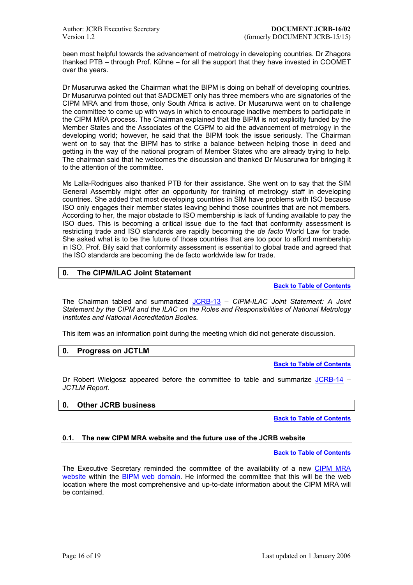<span id="page-15-0"></span>been most helpful towards the advancement of metrology in developing countries. Dr Zhagora thanked PTB  $-$  through Prof. Kühne  $-$  for all the support that they have invested in COOMET over the years.

Dr Musarurwa asked the Chairman what the BIPM is doing on behalf of developing countries. Dr Musarurwa pointed out that SADCMET only has three members who are signatories of the CIPM MRA and from those, only South Africa is active. Dr Musarurwa went on to challenge the committee to come up with ways in which to encourage inactive members to participate in the CIPM MRA process. The Chairman explained that the BIPM is not explicitly funded by the Member States and the Associates of the CGPM to aid the advancement of metrology in the developing world; however, he said that the BIPM took the issue seriously. The Chairman went on to say that the BIPM has to strike a balance between helping those in deed and getting in the way of the national program of Member States who are already trying to help. The chairman said that he welcomes the discussion and thanked Dr Musarurwa for bringing it to the attention of the committee.

Ms Lalla-Rodrigues also thanked PTB for their assistance. She went on to say that the SIM General Assembly might offer an opportunity for training of metrology staff in developing countries. She added that most developing countries in SIM have problems with ISO because ISO only engages their member states leaving behind those countries that are not members. According to her, the major obstacle to ISO membership is lack of funding available to pay the ISO dues. This is becoming a critical issue due to the fact that conformity assessment is restricting trade and ISO standards are rapidly becoming the *de facto* World Law for trade. She asked what is to be the future of those countries that are too poor to afford membership in ISO. Prof. Bily said that conformity assessment is essential to global trade and agreed that the ISO standards are becoming the de facto worldwide law for trade.

# **0. The CIPM/ILAC Joint Statement**

**Back to Table of Contents**

The Chairman tabled and summarized JCRB-13 - CIPM-ILAC Joint Statement: A Joint *Statement by the CIPM and the ILAC on the Roles and Responsibilities of National Metrology Institutes and National Accreditation Bodies.* 

This item was an information point during [the meetin](https://www.bipm.org/cc/JCRB/Restricted/15/15.12.CIPM-ILAC_Joint_Statement.pdf)g which did not generate discussion.

# **0. Progress on JCTLM**

**Back to Table of Contents**

Dr Robert Wielgosz appeared before the committee to table and summarize  $JCRB-14$  – *JCTLM Report.* 

# **0. Other JCRB business**

**Back to Table [of Conten](https://www.bipm.org/cc/JCRB/Restricted/15/15.14.JCTLM.1.pdf)ts**

### **0.1. The new CIPM MRA website and the future use of the JCRB website**

**[Back to Table](#page-0-0) of Contents**

The Executive Secretary reminded the committee of the availability of a new CIPM MRA website within the BIPM web domain. He informed the committee that this will be the web location where the most comprehensive and up-to-date information [about the CIPM MRA will](#page-0-0)  be contained.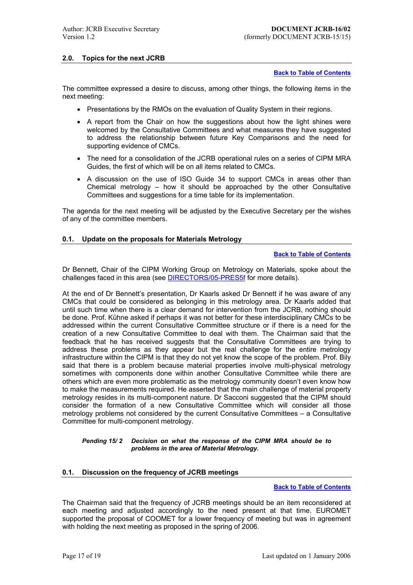### <span id="page-16-0"></span>**2.0. Topics for the next JCRB**

**Back to Table of Contents**

The committee expressed a desire to discuss, among other things, the following items in the next meeting:

- Presentations by the RMOs on the evaluation of Quality System in their regions.
- A report from the Chair on how the suggestions about how the light shines were welcomed by the Consultative Committees and what measures they have suggested to address the relationship between future Key Comparisons and the need for supporting evidence of CMCs.
- The need for a consolidation of the JCRB operational rules on a series of CIPM MRA Guides, the first of which will be on all items related to CMCs.
- A discussion on the use of ISO Guide 34 to support CMCs in areas other than Chemical metrology  $-$  how it should be approached by the other Consultative Committees and suggestions for a time table for its implementation.

The agenda for the next meeting will be adjusted by the Executive Secretary per the wishes of any of the committee members.

### **0.1. Update on the proposals for Materials Metrology**

**Back to Table of Contents**

Dr Bennett, Chair of the CIPM Working Group on Metrology on Materials, spoke about the challenges faced in this area (see DIRECTORS/05-PRES5f for more details).

At the end of Dr Bennettís presentation, Dr Kaarls asked Dr Benne[tt if he was aware of any](#page-0-0)  CMCs that could be considered as belonging in this metrology area. Dr Kaarls added that until such time when there is a cl[ear demand for interventio](https://www.bipm.org/cc/DIRECTORS/Restricted/Meeting_2005/PRESBENNETTMATERIALS.pdf)n from the JCRB, nothing should be done. Prof. Kühne asked if perhaps it was not better for these interdisciplinary CMCs to be addressed within the current Consultative Committee structure or if there is a need for the creation of a new Consultative Committee to deal with them. The Chairman said that the feedback that he has received suggests that the Consultative Committees are trying to address these problems as they appear but the real challenge for the entire metrology infrastructure within the CIPM is that they do not yet know the scope of the problem. Prof. Bily said that there is a problem because material properties involve multi-physical metrology sometimes with components done within another Consultative Committee while there are others which are even more problematic as the metrology community doesn't even know how to make the measurements required. He asserted that the main challenge of material property metrology resides in its multi-component nature. Dr Sacconi suggested that the CIPM should consider the formation of a new Consultative Committee which will consider all those metrology problems not considered by the current Consultative Committees  $-$  a Consultative Committee for multi-component metrology.

#### *Pending 15/ 2 Decision on what the response of the CIPM MRA should be to problems in the area of Material Metrology.*

### **0.1. Discussion on the frequency of JCRB meetings**

**Back to Table of Contents**

The Chairman said that the frequency of JCRB meetings should be an item reconsidered at each meeting and adjusted accordingly to the need present at that time. EUROMET supported the proposal of COOMET for a lower frequency of meeti[ng but was in agreement](#page-0-0)  with holding the next meeting as proposed in the spring of 2006.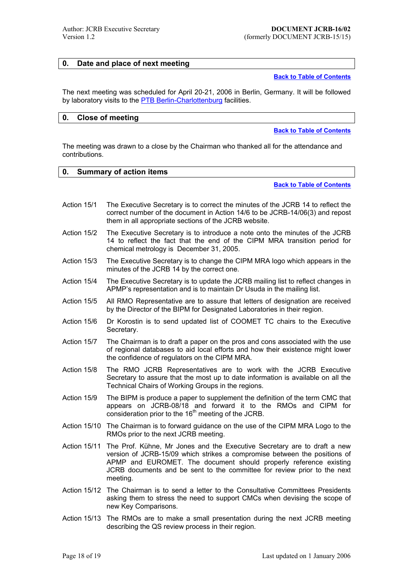# <span id="page-17-0"></span>**0. Date and place of next meeting**

#### **Back to Table of Contents**

The next meeting was scheduled for April 20-21, 2006 in Berlin, Germany. It will be followed by laboratory visits to the **PTB Berlin-Charlottenburg** facilities.

### **0. Close of meeting**

### **Back to Table of Contents**

The meeting was drawn to a close by the Chairman who thanked all for the attendance and contributions.

# **0. Summary of action items**

### **Back to Table of Contents**

- Action 15/1 The Executive Secretary is to correct the minutes of the JCRB 14 to reflect the correct number of the document in Action 14/6 to be J[CRB-14/06\(3\) and repost](#page-0-0) them in all appropriate sections of the JCRB website.
- Action 15/2 The Executive Secretary is to introduce a note onto the minutes of the JCRB 14 to reflect the fact that the end of the CIPM MRA transition period for chemical metrology is December 31, 2005.
- Action 15/3 The Executive Secretary is to change the CIPM MRA logo which appears in the minutes of the JCRB 14 by the correct one.
- Action 15/4 The Executive Secretary is to update the JCRB mailing list to reflect changes in APMPís representation and is to maintain Dr Usuda in the mailing list.
- Action 15/5 All RMO Representative are to assure that letters of designation are received by the Director of the BIPM for Designated Laboratories in their region.
- Action 15/6 Dr Korostin is to send updated list of COOMET TC chairs to the Executive Secretary.
- Action 15/7 The Chairman is to draft a paper on the pros and cons associated with the use of regional databases to aid local efforts and how their existence might lower the confidence of regulators on the CIPM MRA.
- Action 15/8 The RMO JCRB Representatives are to work with the JCRB Executive Secretary to assure that the most up to date information is available on all the Technical Chairs of Working Groups in the regions.
- Action 15/9 The BIPM is produce a paper to supplement the definition of the term CMC that appears on JCRB-08/18 and forward it to the RMOs and CIPM for consideration prior to the  $16<sup>th</sup>$  meeting of the JCRB.
- Action 15/10 The Chairman is to forward guidance on the use of the CIPM MRA Logo to the RMOs prior to the next JCRB meeting.
- Action 15/11 The Prof. Kühne, Mr Jones and the Executive Secretary are to draft a new version of JCRB-15/09 which strikes a compromise between the positions of APMP and EUROMET. The document should properly reference existing JCRB documents and be sent to the committee for review prior to the next meeting.
- Action 15/12 The Chairman is to send a letter to the Consultative Committees Presidents asking them to stress the need to support CMCs when devising the scope of new Key Comparisons.
- Action 15/13 The RMOs are to make a small presentation during the next JCRB meeting describing the QS review process in their region.